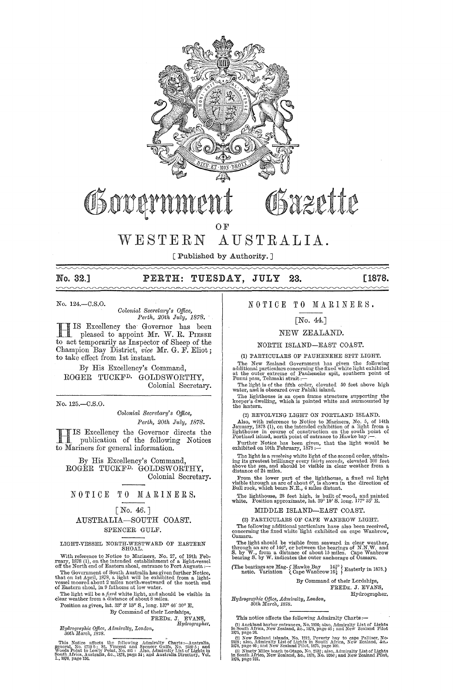

# ~lltr~rnm,ent

OF

WESTERN AUSTRALIA.

[Published by Authority.]

# No. 32.] PERTH: TUESDAY, JULY 23. [1878.

No. 124.-C.S.0.

*Oolonial Secreta1'y's Office, Pm'th, 20th J1tly, 1878.* 

H IS Excellency the Governor has been . pleased to appoint Mr. W. R. PIESSE to act temporarily as Inspector of Sheep of the Champion Bay District, *vice* Mr. G. F. Eliot; to take effect from 1st instant.

By His Excellency's Command, ROGER TUCKFD. GOLDSWORTHY, Colonial Secretary.

No. 125.-C.S.0.

 $Colonial$  Secretary's Office, *Perth, 20th July, 1878.* 

HIS Excellency the Governor directs the publication of the following Notices to Mariners for general information.

By His Excellency's Command, ROGER TUCKFD. GOLDSWORTHY, Colonial Secretary.

# NOTICE TO MARINERS.

## [No. 46. J AUSTRALIA-SOUTH COAST. SPENCER GULF.

LIGHT·YESSEL NORTH.WESTWARD OF EASTERN SHOAL.

With reference to Notice to Mariners, No. 27, of 19th Feb-<br>ruary, 1878 (1), on the intended establishment of a light-vessel<br>off the North end of Eastern shoal, entrance to Port Augusta :-The Government of South Australia has given further Notice,<br>that on 1st April, 1878, a light will be exhibited from a light-<br>vessel moored about 2 miles north-westward of the north end<br>of Eastern shoal, in 9 fathoms at low

The light will be a *fared* white light, and should be visible in clear weather from a distance of about 8 miles.

Position as given, lat. 33" 3' 15" S., long. 137' 46' 30" E.

By Command of their Lordships,

FRED<sub>K</sub>. J. EVANS,<br>*Hydrographer*.

*Hydrographic Office, Admiralty, London,*  $\begin{array}{l} \text{Hydrograph},\\ \text{30th March}, 1878. \end{array}$ <br>
This Notice affects the following Admiralty Charts --Australia, general, No. 279 b.; St. Vincent and Spencer Gulfs, No. 2389 b.; and Woods Poi

# NOTICE TO MARINERS.

# [No. 44.J

# NEW ZEALAND.

NORTH ISLAND-EAST COAST.

(1) PARTICULARS OF PAUHENEHE SPIT LIGHT. The New Zealand Government has given the following additional particulars concerning the fixed white light exhibited at the outer extreme of Pauhenehe spit, southern point of Ponui pass, Tehmaki strait :--

The light is of the fifth order, elevated 50 feet above high water, and is obscured over Pahiki island.

The lighthouse is an open frame structure supporting the keeper's dwelling, which is painted white and surmounted by the lantern.

(2) REYOLVING LIGHT ON PORTLAND ISLAND.

Also, with reference to Notice to Mariners, No. 5, of 14th January, 1878 (1), on the intended exhibition of a light from a lighthouse in course of construction on the south point of Portland island, north point of entranc

The light is a revolving white light of the second order, attaining its greatest brilliancy every *thirty seconds*, elevated 300 feet ablove the sea, and should be visible in clear weather from a distance of 24 miles.

From the lower part of the lighthouse, a fixed *red* light visible through an arc of about 6°, is shown in the direction of Bull rock, which bears N.E., 4 miles distant.

The lighthouse, 28 feet high, is built of wood, and painted white. Position approximate, lat. 39° 18' S. long. 177° 53' E.

#### MIDDLE ISLAND-EAST COAST.

(3) PARTICULARS OF CAPE WANBROW LIGHT.

The following additional particulars have also been received, concerning the fixed white light exhibited on cape Wanbrow, Oamaru.

The light should be visible from seaward in clear weather, through an arc of 146°, or between the bearings of N.N.W. and S. by W., from a distance of about 15 miles. Cape Wanbrow bearing S. by W. indicates the outer anchor

(The bearings are Mag.  $\{Hawke Bay 14\frac{3}{4}^\circ\}$  Easterly in 1878.) netic. Variation 1. Cape Wanbrow  $16\frac{1}{2}$ 

By Command of their Lordships, FREDK. J. EVANS,

Hydrographer.

*Hydrographic Office, Admiralty, London,* 30th March, *1878*.

This notice affects the following Admiralty Charts :-

(1) Auckland harbor entrances, No. 1896; also, Admiralty List of Lights in South Africa, New Zealand, &c., 1878, page 46 ; and New Zealand Pilot<br>in South Africa, New Zealand, &c., 1878, page 46 ; and New Zealand Pilot<br>1875 (2) New Zealand islands, No. 1212, Poverty hay to cape Pal1iser, No· 2.1)28; also, Admiralty List of Lights in South Africa, New Zealand, &c .• 1878, page 46 ; and New Zealand 'pilot, 1875, page 109,

(3) Ninety Miles beach to Otaço, No. 2532; also, Admiralty List of Lights in South Africa, New Zealand, &c., 1878, No. 3200; and New Zealand Pilet.<br>in South Africa, New Zealand, &c., 1878, No. 3200; and New Zealand Pilet.<br>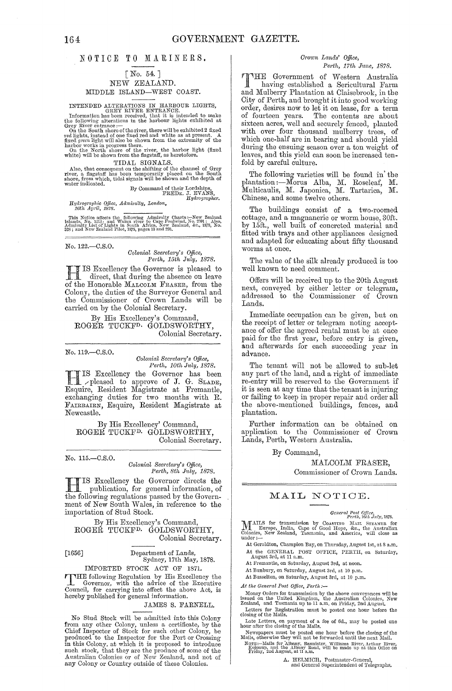# NOTICE TO MARINERS.

### [No. 54.] NEW ZEALAND. ~IIDDLE ISLAND-WEST COAST.

INTENDED ALTERATIONS IN HARBOUR LIGHTS, GREY RIVER ENTRANCE. Information 110S been received, that it is intended to make the following alterations in the harbour lights exhibited at Grey River entrullce:- On the South shore of the river, there will be exhibited 2 fixed

red lights, instead of one fixed red and white as at present. A fixed green light will also be shown from the extremity of the harbor works in progress there.<br>
have a fixed on the North shore of the river, the harbor light

TIDAL SIGNALS.

Also, that consequent on the shifting of the channel of Grey river, a flagstaff has been temporarily placed on the South shore, from which, tidal signals will be shown and the depth of water indicated.<br>By Command of their

By Command of their Lordships,<br>
FREDE. J. EVANS,<br> *Hydrographer.* 

Hydrographic Office, Admiralty, London, any argument to the April, 1878.<br>This Notice affects the following Admiralty Charts :—New Zealand<br>islands, No. 1912; and Waiau river to Cape Fonlwind, No. 2901: Also,<br>Admiralty List

No. 122.-C.S.0.

*Oolonial SeC)'eta1'Y's Office, Perth, 15th July, 1878.* 

**HIS Excellency the Governor is pleased to**<br>direct, that during the absence on leave<br>of the Honorable MALGOLM FRASER, from the of the Honorable MALCOLM FRASER, from the Colony, the duties of the Surveyor General and the Commissioner of Crown Lands will be carried on by the Colonial Secretary.

By His Excellency's Command, ROGER TUCKFD. GOIJDSWORTHY, Colonial Secretary.

No. 119.-C.S.0.

*Oolonial* Secreta~1'Y's *Office, Perth, 10th J1.ly, 1878.* 

IS Excellency the Governor has been<br>
relaxed to approve of J. G. SLADE,<br>
Francisco Registrato of Francordo Esquire, Resident Magistrate at Fremantle, exchanging duties for two months with R. FAIRBAIRN, Esquire, Resident Magistrate at Newcastle.

By His Excellency' Command, ROGER TUCKFD. GOLDSWORTHY, Colonial Secretary.

No. 115.-C.S.0.

*Oolonial Sem'etm'Y's Ojice, Petth, 8th J1,ly, 1878.* 

**THE** IS Excellency the Governor directs the publication, for general information, of the following regulations passed by the Government of New South Wales, in reference to the importation of Stud Stock.

By His Excellency's Command, ROGER TUCKFD. GOLDSWORTHY, Colonial Secretary.

[1656] Department of Lands, Sydney, 17th May, 1878.

IMPORTED STOCK ACT OF 1871.

T HE following Regulation by His Excelleucy the Governor, with the advice of the Executive Council, for carrying into effect the above Act, is hereby published for general information.

JAMES S. FARNELL.

No Stud Stock will be admitted into this Colony from any other Colony, unless a certificate, by the Chief Inspector of Stock for such other Colony, be produced to the Inspector for the Port or Crossing<br>in this Colony, at which it is proposed to introduce<br>such stock, that they are the produce of some of the<br>Australian Colonies or of New Zealand, and not of any Colony or Country outside of these Colonies.

#### *01'olvn Lands' Office, Perth, 17th June, 1878.*

**THE Government of Western Australia**<br>having established a Sericultural Farm having established a Sericultural Farm and Mulberry Plantation at Claisebrook, in the City of Perth, and brought it into good working order, desires now to let it on lease, for a term of fourteen years. The contents are about sixteen acres; well and securely fenced, planted with over four thousand mulberry trees, of which one-half are in bearing and should yield during the ensuing season over a ton weight of leaves, and this yield can soon be increased tenfold by careful culture.

The following varieties will be found in' the plantation :—Morus Alba, M. Roseleaf, M. Multicaulis, M. Japonica, M. Tartarica, M. Chinese, and some twelve others.

The buildings consist of a two-roomed cottage, and a magnanerie or worm house, 30ft. by 15ft., well built of concreted material and fitted with trays and other appliances designed and adapted for educating about fifty thousand worms at once.

The value of the silk already produced is too well known to need comment.

Offers will be received up to the 20th August next, conveyed by either letter or telegram, addressed to the Commissioner of Crown Lands.

Immediate occupation can be given, but on the receipt of letter or telegram noting acceptance of offer the agreed rental must be at once paid for the first year, before entry is given, and afterwards for each succeeding year in advance.

The tenant will not be allowed to sub-let any part of the land, and a right of immediate re-entry will be reserved to the Government if it is seen at any time that the tenant is injuring or failing to keep in proper repair and order all the above-mentioned buildings, fences, and plantation.

Further information can be obtained on application to the Commissioner of Crown Lands, Perth, Western Australia.

By Command,

MALCOLM FRASER, Commissioner of Crown Lands.

# MAIL NOTIOE.

General Post QUtee, *Perth, WIll, Jul}!, 187S.* 

 $Perth$ ,  $i\&Hul$  Europe, India, Cape of Goostrixo MAIL StreAMER for Colonies, New Zealand, Tasmania, and America, will close as under :-

At Geraldton, Champion Bay, on Thursday, August 1st, at 8  $\mathrm{a.m.}$ At the GENERAL POST OFFICE, PERTH, on Saturday, August 3rd, at 11 a.m.

At Fremantle, on Saturday, August 3rd, at noon.

At Bunbury, on Saturday, August 3rd, at 10 p.m.

At Busselton, on Saturday, August 3rd, at 10 p.m.

*At the General Post Office, Perth:-*

Money Orders for transmission by the above conveyances will be assued on the United Kingdom, the Australian Colonies, New Zealand, and The Australian Colonies, New Zealand, and The August.

Letters for Registration must be posted one hour before the closing of the Mails.  $\,$ 

Late Letters, on payment of a fee of  $6d$ ., may be posted one hour after the closing of the Mails.

Newspapers must be posted one hour before the closing of the I\Iails, otherwise they will not be forwarded until the next Mail. NOTE:--Mails for Albany, Bannister, Williams Rivce, Arthur River, Kolonup, and the Albany Road, will be made up at this Office on Kojonup, and August, at 11 a.m.

A. HELMICH, Postmaster-General, and General Superintendent of Telegraphs.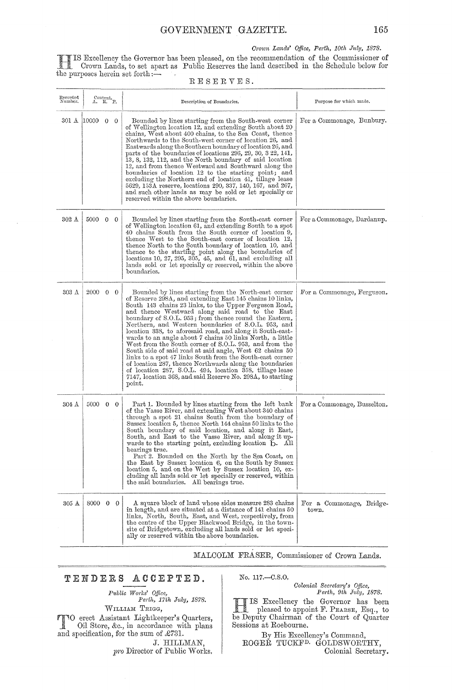*Crown Lands' Office, Pei'th, 10th July, 1878.* 

HIS Excellency the Governor has been pleased, on the recommendation of the Commissioner of Crown Lands, to set apart as Public Reserves the land described in the Schedule below for the purposes herein set forth : $\overline{\phantom{C}}$ RESERVES.

| Recorded<br>Number.   | Content.<br>A. R. P.   | Description of Boundaries.                                                                                                                                                                                                                                                                                                                                                                                                                                                                                                                                                                                                                                                                                                                                                                                                                                 | Purpose for which made.           |
|-----------------------|------------------------|------------------------------------------------------------------------------------------------------------------------------------------------------------------------------------------------------------------------------------------------------------------------------------------------------------------------------------------------------------------------------------------------------------------------------------------------------------------------------------------------------------------------------------------------------------------------------------------------------------------------------------------------------------------------------------------------------------------------------------------------------------------------------------------------------------------------------------------------------------|-----------------------------------|
| 301 A                 | $ 10000 \t0 \t0$       | Bounded by lines starting from the South-west corner<br>of Wellington location 12, and extending South about 20<br>chains, West about 400 chains, to the Sea Coast, thence<br>Northwards to the South-west corner of location 26, and<br>Eastwards along the Southern boundary of location 26, and<br>parts of the boundaries of locations 296, 29, 30, 322, 141,<br>13, 8, 132, 112, and the North boundary of said location<br>12, and from thence Westward and Southward along the<br>boundaries of location 12 to the starting point; and<br>excluding the Northern end of location 41, tillage lease<br>5629, 153A reserve, locations 290, 337, 140, 167, and 267,<br>and such other lands as may be sold or let specially or<br>reserved within the above boundaries.                                                                                | For a Commonage, Bunbury.         |
| $302~\mathrm{\AA}$    | 5000 0 0               | Bounded by lines starting from the South-east corner<br>of Wellington location 61, and extending South to a spot<br>40 chains South from the South corner of location 9,<br>thence West to the South-east corner of location 12,<br>thence North to the South boundary of location 10, and<br>thence to the starting point along the boundaries of<br>locations 10, 27, 295, 305, 45, and 61, and excluding all<br>lands sold or let specially or reserved, within the above<br>boundaries.                                                                                                                                                                                                                                                                                                                                                                | For a Commonage, Dardanup.        |
| $303 \text{ A}$       | $2000 \quad 0 \quad 0$ | Bounded by lines starting from the North-east corner<br>of Reserve 298A, and extending East 145 chains 10 links,<br>South 143 chains 23 links, to the Upper Ferguson Road,<br>and thence Westward along said road to the East<br>boundary of S.O.L. 953; from thence round the Eastern,<br>Northern, and Western boundaries of S.O.L. 953, and<br>location 338, to aforesaid road, and along it South-east-<br>wards to an angle about 7 chains 50 links North, a little<br>West from the South corner of S.O.L. 953, and from the<br>South side of said road at said angle, West 62 chains 50<br>links to a spot 47 links South from the South-east corner<br>of location 287, thence Northwards along the boundaries<br>of location 287, S.O.L. 494, location 358, tillage lease<br>7147, location 368, and said Reserve No. 298A, to starting<br>point. | For a Commonage, Ferguson.        |
| 304 A                 | 5000 0 0               | Part 1. Bounded by lines starting from the left bank<br>of the Vasse River, and extending West about 340 chains<br>through a spot 21 chains South from the boundary of<br>Sussex location 5, thence North 144 chains 50 links to the<br>South boundary of said location, and along it East,<br>South, and East to the Vasse River, and along it up-<br>wards to the starting point, excluding location $\mathbf{b}$ . All<br>bearings true.<br>Part 2. Bounded on the North by the Sea Coast, on<br>the East by Sussex location 6, on the South by Sussex<br>location 5, and on the West by Sussex location 10, ex-<br>cluding all lands sold or let specially or reserved, within<br>the said boundaries. All bearings true.                                                                                                                              | For a Commonage, Busselton.       |
| $305 \; \mathrm{\AA}$ | 8000 0 0               | A square block of land whose sides measure 283 chains<br>in length, and are situated at a distance of 141 chains 50<br>links, North, South, East, and West, respectively, from<br>the centre of the Upper Blackwood Bridge, in the town-<br>site of Bridgetown, excluding all lands sold or let speci-<br>ally or reserved within the above boundaries.                                                                                                                                                                                                                                                                                                                                                                                                                                                                                                    | For a Commonage, Bridge-<br>town. |

MALCOLM FRASER, Commissioner of Crown Lands.

# TENDERS ACCEPTED.

*PttbUc W01'ks' Office, Perth, 17th July, 1878.*  WILLIAM TRIGG,

 $T_1$ <sup>O</sup> erect Assistant Lightkeeper's Quarters,<br>
Oil Store, &c., in accordance with plans and specification, for the sum of £731.

J. HILLMAN, pro Director of Public Works. No. 1l7.-C.S.O.

*Colonial Secretary's Office, Perth, 9th July, 1878.* 

HIS Excellency the Governor has been \_ pleased to appoint F. PEARSE, Esq., to be Deputy Chairman of the Court of Quarter Sessions at Roebourne.

By His Excellency's Command, ROGER TUCKF<sup>D.</sup> GOLDSWORTHY, Colonial Secretary.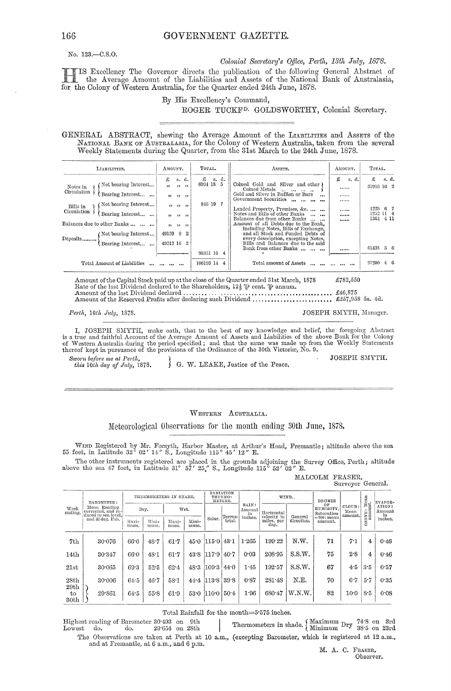No. 123 .- C.S.O.

### Colonial Secretary's Office, Perth, 13th July, 1878.

IS Excellency The Governor directs the publication of the following General Abstract of the Average Amount of the Liabilities and Assets of the National Bank of Australasia, for the Colony of Western Australia, for the Quarter ended 24th June, 1878.

# By His Excellency's Command, ROGER TUCKFD. GOLDSWORTHY, Colonial Secretary.

GENERAL ABSTRACT, shewing the Average Amount of the LIABILITIES and ASSETS of the NATIONAL BANK OF AUSTRALASIA, for the Colony of Western Australia, taken from the several Weekly Statements during the Quarter, from the 31st March to the 24th June, 1878.

| LIABILITIES.                                                                                                                            | Амоимт.                                                            |                                  | ASSETS.                                                                                                                                                                                                                                                      | Амоимт.                | TOTAL.                                  |  |
|-----------------------------------------------------------------------------------------------------------------------------------------|--------------------------------------------------------------------|----------------------------------|--------------------------------------------------------------------------------------------------------------------------------------------------------------------------------------------------------------------------------------------------------------|------------------------|-----------------------------------------|--|
| Not bearing Interest<br>Notes in<br>Circulation<br>Bearing Interest                                                                     | £<br>s. d.<br>$\overline{\phantom{a}}$                             | $\mathfrak{L}$ s.d.<br>6994 18 5 | Coined Gold and Silver and other )<br>Coined Metals<br>Gold and Silver in Bullion or Bars<br>$\ddotsc$<br>Government Securities<br>                                                                                                                          | £<br>s. d.<br><br><br> | £<br>s. d.<br>31916 16 2                |  |
| Not bearing Interest<br>Bills in<br>Circulation<br>Bearing Interest<br>Balances due to other Banks<br>(Not bearing Interest<br>Deposits | $33 - 32 - 32$<br>12 <sub>1</sub><br>, 2, 3, 3, 4<br>49139 0<br>-2 | 846 19 7                         | Landed Property, Premises, &c.<br>Notes and Bills of other Banks<br>Balances due from other Banks<br>Amount of all Debts due to the Bank.<br>including Notes, Bills of Exchange,<br>and all Stock and Funded Debts of<br>every description, excepting Notes, | <br><br>               | 1228<br>67<br>1252 11 4<br>1364<br>4 11 |  |
| Bearing Interest                                                                                                                        | 49212 16                                                           | 98351 16<br>$\overline{4}$       | Bills and Balances due to the said<br>Bank from other Banks                                                                                                                                                                                                  |                        | $61438 \quad 56$                        |  |
| Total Amount of Liabilities                                                                                                             |                                                                    | 106193 14<br>$\overline{4}$      | Total amount of Assets<br>$\cdots$                                                                                                                                                                                                                           |                        | 97200<br>4 G                            |  |

Amount of the Capital Stock paid up at the close of the Quarter ended 31st March, 1878<br>Rate of the last Dividend declared to the Shareholders,  $12\frac{1}{3}$   $\psi$  cent.  $\psi$  annum. £782,550 

Perth, 10th July, 1878.

I, JOSEPH SMYTH, make oath, that to the best of my knowledge and belief, the foregoing Abstract<br>is a true and faithful Account of the Average Amount of Assets and Liabilities of the above Bank for the Colony<br>of Western Aus

Sworn before me at Perth,<br>this 10th day of July, 1878.

G. W. LEAKE, Justice of the Peace.

JOSEPH SMYTH.

JOSEPH SMYTH, Manager.

MALCOLM FRASER,

# WESTERN AUSTRALIA.

Meteorological Observations for the month ending 30th June, 1878.

WIND Registered by Mr. Forsyth, Harbor Master, at Arthur's Head, Fremantle; altitude above the sea 55 feet, in Latitude 32° 02' 14" S., Longitude 115° 45' 12" E.

The other instruments registered are placed in the grounds adjoining the Survey Office, Perth; altitude above the sea 47 feet, in Latitude 31° 57' 25." S., Longitude 115° 52' 02" E.

|                             |                                                                                             |                        |               |               |                                 |                     |                       |            |                                   |                               |                           | ытуеуог сепегал.    |                        |         |
|-----------------------------|---------------------------------------------------------------------------------------------|------------------------|---------------|---------------|---------------------------------|---------------------|-----------------------|------------|-----------------------------------|-------------------------------|---------------------------|---------------------|------------------------|---------|
| Week<br>ending.             | BAROMETER:<br>Mean Reading<br>corrected, and re-<br>duced to sea level.<br>and 32 deg. Fah. | THERMOMETERS IN SHADE. |               |               | RADIATION<br>THERMO-<br>METERS. |                     | WIND.                 |            | DEGREE                            |                               | $\lim_{t\to\infty}$       | EVAPOR-             |                        |         |
|                             |                                                                                             |                        | Dry.          |               | Wet.                            |                     | RAIN:<br>Amount<br>in | Horizontal |                                   | OF<br>HUMIDITY,<br>Saturation | CLOUD:<br>Mean<br>amount. | mя<br>$\frac{0}{2}$ | ATION:<br>Amount<br>in |         |
|                             |                                                                                             | Maxi-<br>mun.          | Mini-<br>mum. | Maxi-<br>mum. | Mini-<br>mum.                   | Solar.              | [Terres-]<br>trial.   | inches.    | velocity in<br>miles, per<br>day. | General<br>direction.         | $=100$ : mean<br>amount.  |                     | Ń<br>۰                 | inches. |
| 7th                         | 30.076                                                                                      | 66.6                   | 48.7          | 61.7          |                                 | $45.0$ 115.0 $43.1$ |                       | 1.265      | 199.22                            | N.W.                          | 71                        | 7.1                 | 4                      | 0.46    |
| 14 <sub>th</sub>            | 30.347                                                                                      | 66.0                   | 48.1          | 61.7          |                                 | 438 1179            | 40.7                  | 0.03       | 208.95                            | S.S.W.                        | 75                        | 2.8                 | 4                      | 0.46    |
| 21st                        | 30.065                                                                                      | 69.3                   | 52.5          | $62 - 4$      | 48.3                            | 109.3               | 44.0                  | 1.45       | 192.57                            | S.S.W.                        | 67                        | 4.5                 | 3.5                    | 0.57    |
| 28th                        | 30:006                                                                                      | 64.5                   | 46.7          | $58 - 1$      | 44.4                            | $113.8$ 39.8        |                       | 0.87       | 281.48                            | N.E.                          | 70                        | 6.7                 | 5.7                    | 0.35    |
| 29th<br>to<br>$_{\rm 30th}$ | 29.861                                                                                      | 64 5                   | 55.8          | 61.9          |                                 | $53.0$ 1100         | 50.4                  | 1.96       | 680.47                            | W.N.W.                        | 82                        | 10.0 <sub>1</sub>   | 8.5                    | 0.08    |

Total Rainfall for the month=5.575 inches.

Thermometers in shade.  $\left\{\begin{array}{ll} \text{Maximum } Dry \\ \text{Minimum } Dry \end{array}\right.$  38.5 on 23rd Highest reading of Barometer 30.493 on 9th  $29^{\circ}654\,$  on  $28\mathrm{th}$ Lowest do.  $_{\rm do.}$ The Observations are taken at Perth at 10 a.m., (excepting Barometer, which is registered at 12 a.m., and at Fremantle, at 6 a.m., and 6 p.m.

M. A. C. FRASER, Observer.

### 166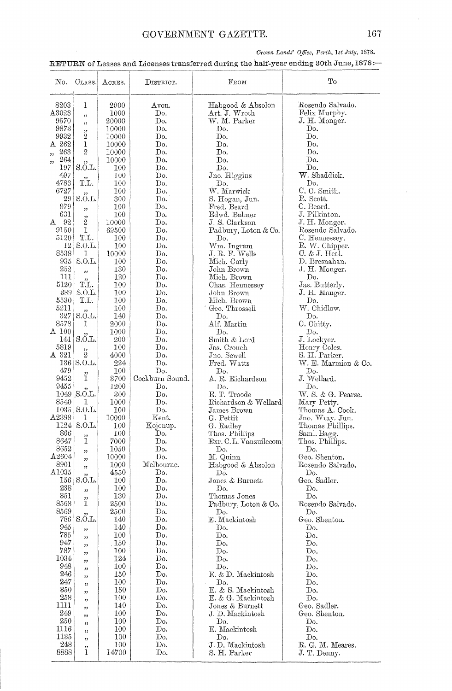# GOVERNMENT GAZETTE.

Crown Lands' Office, Perth, 1st July, 1878.

RETURN of Leases and Licenses transferred during the half-year ending 30th June, 1878:-

| No.                          | CLASS.                                                         | $\Lambda$ CRES.   | DISTRICT.       | $_{\rm FROM}$                        | To                                 |
|------------------------------|----------------------------------------------------------------|-------------------|-----------------|--------------------------------------|------------------------------------|
| 8203                         | 1                                                              | 2000              | Avon.           | Habgood & Absolon                    | Rosendo Salvado.                   |
| A3023                        | ,,                                                             | 1000              | Do.             | Art. J. Wroth                        | Felix Murphy.                      |
| 9570                         | , 2                                                            | 20000             | Do.             | W. M. Parker                         | J. H. Monger.                      |
| 9873                         | ,,                                                             | 10000             | Do.             | Do.                                  | $\operatorname{Do}$ .              |
| 9932                         | $\boldsymbol{2}$                                               | 10000             | Do.             | Do.                                  | Do.<br>Do.                         |
| A 262<br>263                 | $\mathbf{I}% _{T}=\mathbf{I}_{T}\times\mathbf{I}_{T}$<br>$\!2$ | 10000<br>10000    | Do.<br>Do.      | Do.<br>Do.                           | Do.                                |
| $^{\prime}$<br>264<br>, 2, 3 | ,,                                                             | 10000             | Do.             | Do,                                  | Do.                                |
| 197                          | S.O.L.                                                         | 100               | Do.             | Do.                                  | Do.                                |
| 497                          | тÏ.                                                            | 100               | Do.             | Jno. Higgins                         | W. Shaddick.                       |
| 4783<br>6727                 |                                                                | 100<br>100        | Do.<br>Do.      | Do.<br>W. Marwick                    | Do.<br>C. C. Smith.                |
| $\rm 29$                     | s.ö.L                                                          | 300               | Do.             | S. Hogan, Jun.                       | R. Scott.                          |
| 979                          | ,,                                                             | 100               | Do.             | Fred. Beard                          | C. Beard.                          |
| 631                          | ,,                                                             | 100               | Do.             | Edwd. Balmer                         | J. Pilkinton.                      |
| 92<br>$\mathbf{A}$           | $\overline{2}$                                                 | 10000             | Do.             | J. S. Clarkson                       | J. H. Monger.                      |
| 9150<br>5120                 | $\mathbf 1$<br>T.L.                                            | 69500<br>100      | Do.<br>Do.      | Padbury, Loton & Co.                 | Rosendo Salvado.                   |
| 12                           | S.O.L.                                                         | 100               | Do.             | Do.<br>Wm. Ingram                    | C. Hennessey.<br>R. W. Chipper.    |
| 8538                         | 1                                                              | 10000             | Do.             | J. R. F. Wells                       | $C. \& J.$ Heal.                   |
| 935                          | S.O.L.                                                         | 100               | Do.             | Mich. Curly                          | D. Bresnahan.                      |
| 252                          | $\pmb{\mathfrak z}\pmb{\mathfrak z}$                           | 130               | Do.             | John Brown                           | J. H. Monger.                      |
| 111<br>$5120\,$              | , ,<br>T.L.                                                    | 120<br>100        | Do.<br>Do.      | Mich. Brown<br>Chas. Hennessey       | Do.<br>Jas. Butterly.              |
| 389                          | S.O.L.                                                         | 100               | Do.             | John Brown                           | J. H. Monger.                      |
| 5530                         | T.L.                                                           | 100               | Do.             | Mich. Brown                          | Do.                                |
| 5211                         |                                                                | 100               | Do.             | Geo. Throssell                       | W. Chidlow.                        |
| 327                          | s.ő.n.                                                         | 140               | Do.             | Do.                                  | Do.                                |
| 8578<br>$\Lambda$ 100        | 1                                                              | 2000<br>1000      | Do.<br>Do.      | Alf. Martin<br>Do.                   | C. Chitty.<br>Do.                  |
| 141                          | 22<br>S.Ö.L.                                                   | 200               | Do.             | Smith & Lord                         | J. Lockyer.                        |
| 5819                         |                                                                | 100               | Do.             | Jas. Crouch                          | Henry Coles.                       |
| $A\;321$                     | $\ddot{2}$                                                     | 4000              | Do.             | Jno. Sewell                          | S. H. Parker.                      |
| 479                          | $136$ [S.O.L.                                                  | 224<br>$100\,$    | Do.<br>Do.      | Fred. Watts<br>Do.                   | W. E. Marmion & Co.<br>Do.         |
| 9452                         | ï                                                              | 3700              | Cockburn Sound. | A. R. Richardson                     | J. Wellard.                        |
| 9455                         | ,,                                                             | 1200              | Do.             | Do.                                  | Do.                                |
|                              | $1049$ S.O.L.                                                  | 300               | Do.             | E. T. Troode                         | W. S. & G. Pearse.                 |
| 8540                         | 1                                                              | 1000              | Do.             | Richardson & Wellard                 | Mary Petty.                        |
| 1035<br>A2398                | S.O.L.<br>1                                                    | 100<br>10000      | Do.<br>Kent.    | James Brown<br>G. Pettit             | Thomas A. Cook.<br>Jno. Wray. Jun. |
| 1124                         | S.O.L.                                                         | $100\,$           | Kojonup.        | G. Radley                            | Thomas Phillips.                   |
| 866                          | ,,                                                             | 100               | Do.             | Thos. Phillips                       | Saml. Bagg.                        |
| 8647                         | 1                                                              | 7000              | Do.             | Exr. C.L. Vanzuilecom                | Thos. Phillips.                    |
| 8652<br>A2604                | ,,                                                             | 1050<br>10000     | Do.<br>Do.      | Do.                                  | Do.<br>Geo. Shenton.               |
| 8901                         | ,                                                              | 1000              | Melbourne.      | M. Quinn<br>Habgood & Absolon        | Rosendo Salvado.                   |
| A1035                        | , 2, 3<br>,,                                                   | 4550              | Do.             | Do.                                  | Do.                                |
| 156                          | S.0.L.                                                         | 100               | Do.             | Jones & Burnett                      | Geo. Sadler.                       |
| 238                          | ,,                                                             | 100               | Do.             | Do.                                  | Do.                                |
| 351<br>8568                  | $\ddot{i}$                                                     | 130<br>2500       | Do.<br>Do.      | Thomas Jones<br>Padbury, Loton & Co. | Do.<br>Rosendo Salvado.            |
| 8569                         |                                                                | 2500              | Do.             | Do.                                  | Do.                                |
| 786                          | s.ö.L.                                                         | 140               | Do.             | E. Mackintosh                        | Geo. Shenton.                      |
| 945                          | , 1                                                            | 140               | Do.             | Do.                                  | Do.                                |
| 785<br>947                   | ,,                                                             | 100<br><b>150</b> | Do.<br>Do.      | Do.<br>Do.                           | Do.<br>Do.                         |
| 787                          | , ,<br>, 2                                                     | 100               | Do.             | Do.                                  | Do.                                |
| 1034                         | , ,                                                            | 124               | Do.             | Do.                                  | Do.                                |
| 948                          | ,,                                                             | 100               | Do.             | $\operatorname{Do}$ .                | ${\rm Do.}$                        |
| 246                          | ,,                                                             | 150               | Do.             | E. & D. Mackintosh                   | Do.                                |
| 247<br>350                   | ,,                                                             | 100<br>150        | Do.<br>Do.      | Do.<br>E. & S. Mackintosh            | Do.<br>Do.                         |
| 258                          | , 2, 3<br>, 2, 3                                               | 100               | Do.             | E. & G. Mackintosh                   | Do.                                |
| 1111                         | ,,                                                             | 140               | Do.             | Jones & Burnett                      | Geo. Sadler.                       |
| 249                          | ,,                                                             | 100               | Do.             | J. D. Mackintosh                     | Geo. Shenton.                      |
| 250<br>1116                  | ,,                                                             | 100<br>100        | Do.<br>Do.      | Do.                                  | Do.                                |
| 1135                         | , 2, 3                                                         | 100               | Do.             | E. Mackintosh<br>Do.                 | Do.<br>Do.                         |
| 248                          | , 2, 3                                                         | 100               | Do.             | J.D. Mackintosh                      | R. G. M. Meares.                   |
| 8888                         | $\ddot{1}$                                                     | 14700             | Do.             | S. H. Parker                         | J. T. Denny.                       |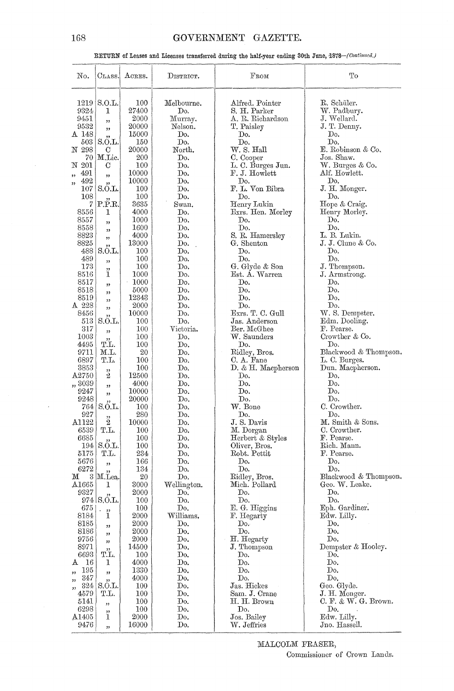# GOVERNMENT GAZETTE.

RETURN of Leases and Licenses transferred during the half-year ending 30th June,  $1878$ -(Continued.)

| No.            | CLASS.                              | ACRES.            | DISTRICT.               | $F_{ROM}$                           | To                               |
|----------------|-------------------------------------|-------------------|-------------------------|-------------------------------------|----------------------------------|
| 1219           | $ $ S.O.L.                          | 100               | Melbourne.              | Alfred. Pointer                     | R. Schüler.                      |
| 9324           | 1                                   | 27400             | Do.                     | S. H. Parker                        | W. Padbury.                      |
| 9451<br>9532   | ,,                                  | 2000<br>20000     | Murray.<br>Nelson.      | A. R. Richardson<br>T. Paisley      | J. Wellard.<br>J. T. Denny.      |
| A 148          | ,,                                  | 15000             | Do.                     | Do.                                 | Do.                              |
| 503            | ,,<br>S.O.L.                        | 150               | Do.                     | Do.                                 | Do.                              |
| N 298          | C                                   | 20000             | $\operatorname{North.}$ | W. S. Hall                          | E. Robinson & Co.                |
| 70<br>N 201    | M.Lic.<br>$\mathbf C$               | 200               | Do.                     | C. Cooper                           | Jos. Shaw.                       |
| 491            |                                     | 100<br>10000      | Do.<br>Do.              | L. C. Burges Jun.<br>F. J. Howlett  | W. Burges & Co.<br>Alf. Howlett. |
| ,,<br>492<br>" | , 1<br>,,                           | 10000             | Do.                     | Do.                                 | Do.                              |
| 107            | S.O.L.                              | 100               | Do.                     | F. L. Von Bibra                     | J. H. Monger.                    |
| 108            | $\vec{P} \cdot \vec{P} \cdot R$     | 100               | Do.                     | Do.                                 | Do.                              |
| 7<br>8556      | 1                                   | 3635<br>4000      | Swan.<br>Do.            | Henry Lukin<br>Exrs. Hen. Morley    | Hope & Craig.<br>Henry Morley.   |
| 8557           | "                                   | 1000              | Do.                     | Do.                                 | Do.                              |
| 8558           | ,,                                  | <b>1600</b>       | Do.                     | Do.                                 | Do.                              |
| 8823           | $\boldsymbol{\mathfrak{z}}$         | 4000              | Do.                     | S. R. Hamersley                     | L. B. Lukin.                     |
| 8825<br>488    | ,,<br>S.O.L.                        | 13000<br>100      | Do.<br>Do.              | G. Shenton<br>$\operatorname{Do}$ . | J. J. Clune & Co.<br>Do.         |
| 489            |                                     | 100               | Do.                     | Do.                                 | Do.                              |
| 173            | , 2<br>,,                           | 100               | $\mathop{\mathrm{Doc}}$ | G. Glyde & Son                      | J. Thompson.                     |
| 8516           | 1                                   | 1000              | Do.                     | Est. A. Warren                      | J. Armstrong.                    |
| 8517           | ,,                                  | 1000              | Do.                     | Do.                                 | Do.<br>Do.                       |
| 8518<br>8519   | ,,                                  | 5000<br>12343     | Do.<br>Do.              | Do.<br>Do.                          | Do.                              |
| A 228          | ,,<br>,,                            | 2000              | Do.                     | Do.                                 | Do.                              |
| 8456           | ,,                                  | 10000             | Do.                     | Exrs. T. C. Gull                    | W. S. Dempster.                  |
| 513            | S.O.L.                              | 100               | Do.                     | Jas. Anderson                       | Edm. Dooling.                    |
| 317<br>1003    | ,,                                  | 100<br>100        | Victoria.<br>Do.        | Ber. McGhee<br>W. Saunders          | F. Pearse.<br>Crowther $& Co.$   |
| 4495           | $\stackrel{\text{''}}{\text{T.L.}}$ | 100               | Do.                     | Do.                                 | Do.                              |
| 9711           | M.L.                                | 20                | Do.                     | Ridley, Bros.                       | Blackwood & Thompson.            |
| 6897           | T.L.                                | 100               | Do.                     | C. A. Fane                          | L. C. Burges.                    |
| 3853<br>A2750  | $\ddot{2}$                          | 100<br>12500      | Do.<br>Do.              | D. & H. Macpherson<br>Do.           | Dun. Macpherson.<br>Do.          |
| ,, 3039        | , 2                                 | 4000              | Do.                     | Do.                                 | Do.                              |
| 9247           | ,,                                  | 10000             | Do.                     | Do.                                 | Do.                              |
| 9248           | ,,                                  | 20000             | Do.                     | Do.                                 | Do.                              |
| 764<br>927     | S.0.L.                              | 100<br>280        | Do.<br>Do.              | W. Bone<br>Do.                      | C. Crowther.<br>Do.              |
| A1122          | $\ddot{2}$                          | 10000             | Do.                     | J. S. Davis                         | M. Smith & Sons.                 |
| 6539           | T.L.                                | 100               | Do.                     | M. Dorgan                           | C. Crowther.                     |
| 6685           | $194$ S.O.L.                        | 100               | Do.                     | Herbert & Styles                    | F. Pearse.                       |
| 5175           | T.L.                                | 100<br>234        | Do.<br>Do.              | Oliver, Bros.<br>Robt. Pettit       | Rich. Mann.<br>F. Pearse.        |
| 5676           | $\overline{\phantom{a}}$            | 166               | Do.                     | Do.                                 | Do.                              |
| 6272           |                                     | 134               | Do.                     | Do.                                 | Do.                              |
| М              | $3\text{ }^2$ M.Lea.                | 20                | Do.                     | Ridley, Bros.                       | Blackwood & Thompson.            |
| A1665<br>9327  | 1                                   | 3000<br>2000      | Wellington.<br>Do.      | Mich. Pollard<br>Do.                | Geo. W. Leake.<br>Do.            |
|                | ,,<br>$974$ S.O.L.                  | 100               | Do.                     | Do.                                 | Do.                              |
| $675\,$        |                                     | 100               | Do.                     | E. G. Higgins                       | Eph. Gardiner.                   |
| 8184           | $\ddot{1}$                          | 2000              | Williams.               | F. Hegarty                          | Edw. Lilly.                      |
| 8185<br>8186   | ,,                                  | 2000<br>2000      | Do.<br>Do.              | $\mathop{\mathrm{Do}}$ .<br>Do.     | Do.<br>Do.                       |
| 9756           | "<br>,,                             | 2000              | Do.                     | H. Hegarty                          | Do.                              |
| 8971           | , ,                                 | 14500             | Do.                     | J. Thompson                         | Dempster & Hooley.               |
| 6693           | T.L.                                | <b>100</b>        | Do.                     | Do.                                 | Do.                              |
| 16<br>А<br>195 | 1                                   | 4000<br>1330      | Do.<br>Do,              | Do.<br>Do.                          | Do.<br>Do.                       |
| 347<br>, 2     | 33<br>, ,                           | 4000              | Do.                     | Do.                                 | Do.                              |
| 324<br>,,      | S.O.L.                              | 100               | Do.                     | Jas. Hickes                         | Geo. Glyde.                      |
| 4579           | T.L.                                | 100               | Do.                     | Sam. J. Crane                       | J. H. Monger.                    |
| 5141<br>6298   | , 2                                 | <b>100</b><br>100 | Do.<br>Do.              | H. H. Brown<br>Do.                  | $C. F. \& W. G. Brown.$<br>Do.   |
| A1405          | ,,<br>1                             | 2000              | Do.                     | Jos. Bailey                         | Edw. Lilly.                      |
| 9476           | ,,                                  | 16000             | Do.                     | $W.$ Jeffries                       | Jno. Hassell.                    |

MALCOLM FRASER, Commissioner of Crown Lands.

 $\overline{\phantom{a}}$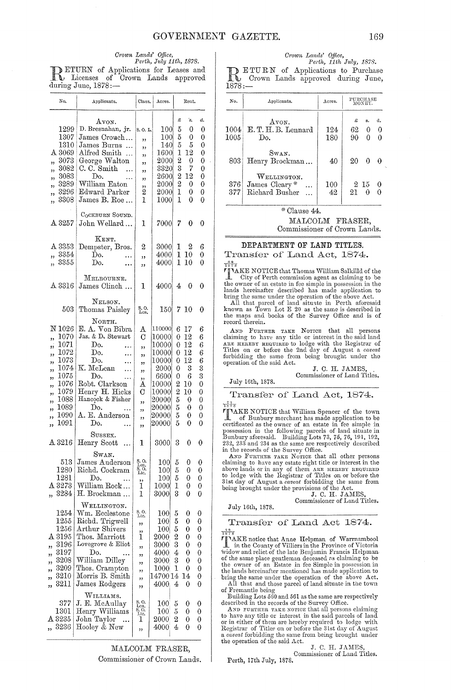Crown Lands' Office,<br>Perth, July 11th, 1878. DETURN of Applications for Leases and<br>
IV Licenses of Crown Lands approved during June, 1878:-

|          | No.                          | Applicants.                                        | Class.                               | Acres.              |                       | Rent.   |                  |
|----------|------------------------------|----------------------------------------------------|--------------------------------------|---------------------|-----------------------|---------|------------------|
|          |                              |                                                    |                                      |                     | £                     | ΄ε.     | đ.               |
|          | 1299                         | Атон.<br>D. Bresnahan, jr.                         | S.O.L.                               | 100                 | 5                     | 0       | 0                |
|          | 1307                         | James Crouch                                       | ,,                                   | $100\,$             | 5                     | 0       | 0                |
|          | 1310                         | James Burns<br>$\ddotsc$                           | ,,                                   | 140                 | 5                     | 5       | 0                |
|          | $\Delta\,3069$               | Alfred Smith<br>.                                  | ,,                                   | $1600\,$            | 1                     | 12      | 0                |
| ,,       | 3073                         | George Walton                                      | ,,                                   | $2000\,$            | 2                     | 0       | 0                |
| ,,       | 3082<br>3083                 | C. C. S <sub>mith</sub><br>Do.                     | ,,                                   | 3320<br>2600        | 3<br>$\boldsymbol{2}$ | 7<br>12 | 0<br>0           |
| ,,       | 3289                         | William Eaton                                      | ,,                                   | $2000\,$            | $\overline{2}$        | 0       | 0                |
| ,,<br>,, | 3296                         | Edward Parker                                      | ,,<br>$\overline{2}$                 | 2000                | 1                     | 0       | 0                |
| ,,       | 3308                         | James B. Roe                                       | 1                                    | 1000                | 1                     | 0       | 0                |
|          |                              | COCKBURN SOUND.                                    |                                      |                     |                       |         |                  |
|          | $\Delta~3257$                | John Wellard                                       | 1                                    | 7000                | 7                     | 0       | 0                |
|          |                              |                                                    |                                      |                     |                       |         |                  |
|          | $\Delta~3353$                | KENT.                                              | 2                                    | 3000                | 1                     | 2       | 6                |
|          | 3354                         | Dempster, Bros.<br>Do.                             |                                      | 4000                | 1                     | 10      | 0                |
| ,,<br>,, | 3355                         | Do.                                                | ,,<br>,,                             | 4000                | 1                     | 10      | 0                |
|          |                              |                                                    |                                      |                     |                       |         |                  |
|          | A 3316                       | MELBOURNE.                                         |                                      |                     |                       |         |                  |
|          |                              | James Clinch                                       | 1                                    | 4000                | 4                     | 0       | 0                |
|          |                              | NELSON.                                            |                                      |                     |                       |         |                  |
|          | 503                          | Thomas Paisley                                     | S.O.<br>Lea.                         | 150                 |                       | 7 10    | 0                |
|          |                              | Nовтн.                                             |                                      |                     |                       |         |                  |
|          | N 1026                       | E. A. Von Bibra                                    | Α                                    | 110000              | 6                     | 17      | 6                |
| ,,       | 1070                         | Jas. & D. Stewart                                  | C                                    | 10000               | 0                     | 12      | 6                |
| 33       | $1071\,$                     | Do.                                                | ,,                                   | 10000               | 0                     | 12      | 6                |
| ,,       | 1072                         | Do.                                                | ,,                                   | 10000               | 0                     | 12      | 6                |
| ,,       | 1073<br>1074                 | Do.<br>K. McLean                                   | ,,                                   | 10000               | 0                     | 12      | 6                |
| ,,       | 1075                         | .<br>Do.                                           | ,,                                   | 2000<br>6600        | 0<br>$\mathbf 0$      | 3<br>6  | 3<br>3           |
| ,,       | 1076                         | .<br>Robt. Clarkson                                | ,,<br>Α                              | 10000               | 2                     | 10      | 0                |
| ,,       | 1079                         | Henry H. Hicks                                     | С                                    | 10000               | $\overline{2}$        | 10      | 0                |
| ,,<br>,, | 1088                         | Hancock & Fisher                                   |                                      | $20000\,$           | 5                     | 0       | 0                |
| ,,       | 1089                         | Do.<br>.                                           | ,,<br>,,                             | 20000               | 5                     | 0       | 0                |
| ,,       | $1090\,$                     | A. E. Anderson                                     | ,,                                   | 20000               | 5                     | 0       | 0                |
| 33       | 1091                         | Do.                                                | "                                    | 200001              | 5                     | 0       | 0                |
|          |                              | SUSSEX.                                            |                                      |                     |                       |         |                  |
|          | $\Delta~3216$                | Henry Scott                                        | 1                                    | 3000                | 3                     | 0       | 0                |
|          |                              | Swan.                                              |                                      |                     |                       |         |                  |
|          | 513                          | James Anderson                                     | S.O.                                 | 100                 | 5                     | 0       | 0                |
|          | 1280                         | Richd. Cockram                                     | Lea<br>S. O.<br>Lic.                 | $100\,$             | 5                     | 0       | 0                |
|          | 1281                         | Do.                                                | ,,                                   | 100                 | 5                     | 0       | 0                |
|          | $\Delta~3273$                | $\operatorname{William} \operatorname{Rock} \dots$ | ï                                    | 1000                | 1                     | 0       | 0                |
| ,,       | 3284                         | H. Brockman                                        | 1                                    | 3000                | 3                     | 0       | 0                |
|          |                              | WELLINGTON.                                        |                                      |                     |                       |         |                  |
|          | 1254                         | Wm. Ecclestone                                     | S. O.<br>Lic.                        | 100                 | 5                     | 0       | 0                |
|          | 1255<br>1256                 | Richd. Trigwell<br>Arthur Shivers                  | ,,                                   | $100\,$<br>$100 \,$ | $\mathbf{5}$<br>5     | 0<br>0  | 0<br>0           |
|          | $\Delta~3195$                | Thos. Marriott                                     | ,,<br>ı                              | 2000                | 2                     | 0       | $\boldsymbol{0}$ |
| ,,       | 3196                         | Lovegrove & Eliot                                  |                                      | $3000\,$            | 3                     | 0       | 0                |
| ,,       | 3197                         | Do.                                                | ,,<br>,,                             | 4000                | 4                     | 0       | 0                |
| "        | 3208                         | William Dilley                                     | "                                    | 3000                | 3                     | 0       | 0                |
| ,,       | 3209                         | Thos. Crampton                                     | ,,                                   | $1000\,$            | 1                     | 0       | $\boldsymbol{0}$ |
| ,,       | 3210                         | Morris B. Smith                                    | ,,                                   | 14700 14            |                       | 14      | 0                |
| ,,       | 3211                         | James Rodgers                                      | "                                    | 4000                | 4                     | 0       | 0                |
|          |                              | WILLIAMS.                                          |                                      |                     |                       |         |                  |
|          | 377                          | J. E. McAullay                                     | S.O.<br>$_{\rm s. \, O.}_{\rm Lic.}$ | 100                 | 5                     | 0       | 0                |
|          | $_{1301}$<br>$\Delta\, 3235$ | Henry Williams                                     | ı                                    | 100<br>$2000\,$     | 5<br>2                | 0<br>0  | 0<br>0           |
| ,,       | 3236                         | John Taylor<br>Hooley & New                        |                                      | 4000                | 4                     | 0       | 0                |
|          |                              |                                                    | ,,                                   |                     |                       |         |                  |

MALCOLM FRASER, Commissioner of Crown Lands.

# Crown Lands' Office,<br>Perth, 11th July, 1878.

ETURN of Applications to Purchase DETURN of Approaches & A  $1878:$ 

| No.              | Applicants.                                    | Acres.     | PURCHASE<br>MONEY.                         |  |  |  |  |
|------------------|------------------------------------------------|------------|--------------------------------------------|--|--|--|--|
| 1004<br>$1005\,$ | AVON.<br>E.T.H.B. Lennard<br>Do.               | 124<br>180 | £<br>đ.<br>s.<br>62<br>$\theta$<br>0<br>90 |  |  |  |  |
| 803              | Swan.<br>Henry Brockman                        | 40         | 20<br>0<br>$\Omega$                        |  |  |  |  |
| 376<br>377       | WELLINGTON.<br>James Cleary*<br>Richard Busher | 100<br>42  | 2 15<br>0<br>21                            |  |  |  |  |

# \* Clause 44.

#### MALCOLM FRASER, Commissioner of Crown Lands.

### DEPARTMENT OF LAND TITLES.

Transfer of Land Act, 1874.

The CHENNE NOTICE that Thomas William Salkilld of the<br>
TRAKE NOTICE that Thomas William Salkilld of the<br>
City of Perth commission agent as claiming to be<br>
the owner of an estate in fee simple in possession in the<br>
lands h

AND FURER TAKE NOTICE that all persons<br>claiming to have any title or interest in the said land<br>are HEREBY REQUIRED to lodge with the Registrar of<br>Titles on or before the 2nd day of August a *caveat*<br>forbidding the same fro

J. C. H. JAMES Commissioner of Land Titles.

# Transfer of Land Act, 1874.  $\frac{71}{1878}$

July 16th, 1878.

July 16th, 1878.

**FINAKE NOTICE** that William Spencer of the town of Bunbury merchant has made application to be certificated as the owner of an estate in fee simple in becomes as the owner or an estate in ree simple in<br>possession in the following parcels of land situate in<br>Bunbury aforesaid. Building Lots 73, 75, 76, 191, 192,<br>232, 233 and 234 as the same are respectively described<br>in th

AND FURTHER TAKE NOTICE that all other persons AND FUNTERE TAKE NOTICE that all other persons<br>claiming to have any estate right title or interest in the<br>above lands or in any of them ARE HERENT REQUIRED<br>to lodge with the Registrar of Titles on or before the<br>31st day of

Transfer of Land Act 1874.  $\frac{73}{1878}$ 

 $I^*$ <sup>1874</sup><br>
In the County of Villiers in the Province of Victoria<br>
in the County of Villiers in the Province of Victoria<br>
widow and relict of the late Benjamin Francis Helpman-<br>
of the same place gentleman deceased as cl the lands hereinafter mentioned has made application to bring the same under the operation of the above Act.<br>All that and those parcel of land situate in the town

All that and those parcel of land situate in the town<br>of Fremantle being<br>Building Lots 560 and 561 as the same are respectively<br>described in the records of the Survey Office.<br>AND FURTER TAKE NOTICE that all persons claimi the operation of the said Act.

J. C. H. JAMES, Commissioner of Land Titles.

Perth, 17th July, 1878.